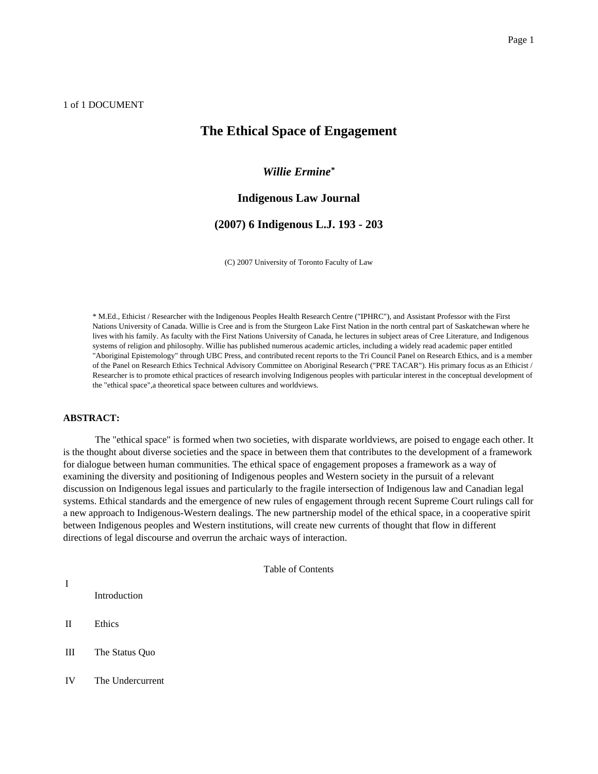## 1 of 1 DOCUMENT

# **The Ethical Space of Engagement**

## *Willie Ermine\**

## **Indigenous Law Journal**

## **(2007) 6 Indigenous L.J. 193 - 203**

(C) 2007 University of Toronto Faculty of Law

\* M.Ed., Ethicist / Researcher with the Indigenous Peoples Health Research Centre ("IPHRC"), and Assistant Professor with the First Nations University of Canada. Willie is Cree and is from the Sturgeon Lake First Nation in the north central part of Saskatchewan where he lives with his family. As faculty with the First Nations University of Canada, he lectures in subject areas of Cree Literature, and Indigenous systems of religion and philosophy. Willie has published numerous academic articles, including a widely read academic paper entitled "Aboriginal Epistemology" through UBC Press, and contributed recent reports to the Tri Council Panel on Research Ethics, and is a member of the Panel on Research Ethics Technical Advisory Committee on Aboriginal Research ("PRE TACAR"). His primary focus as an Ethicist / Researcher is to promote ethical practices of research involving Indigenous peoples with particular interest in the conceptual development of the "ethical space",a theoretical space between cultures and worldviews.

## **ABSTRACT:**

The "ethical space" is formed when two societies, with disparate worldviews, are poised to engage each other. It is the thought about diverse societies and the space in between them that contributes to the development of a framework for dialogue between human communities. The ethical space of engagement proposes a framework as a way of examining the diversity and positioning of Indigenous peoples and Western society in the pursuit of a relevant discussion on Indigenous legal issues and particularly to the fragile intersection of Indigenous law and Canadian legal systems. Ethical standards and the emergence of new rules of engagement through recent Supreme Court rulings call for a new approach to Indigenous-Western dealings. The new partnership model of the ethical space, in a cooperative spirit between Indigenous peoples and Western institutions, will create new currents of thought that flow in different directions of legal discourse and overrun the archaic ways of interaction.

Table of Contents

I

Introduction

- II Ethics
- III The Status Quo
- IV The Undercurrent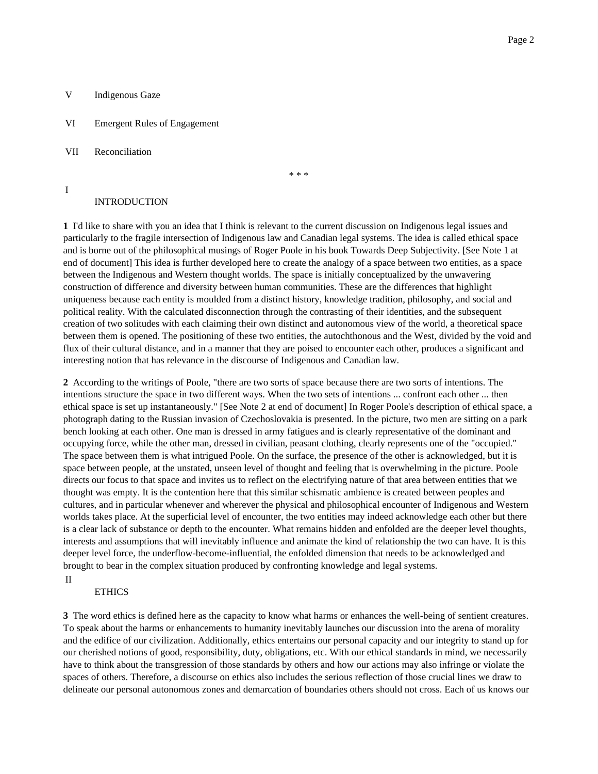## V Indigenous Gaze

VI Emergent Rules of Engagement

VII Reconciliation

I

\* \* \*

## INTRODUCTION

**1** I'd like to share with you an idea that I think is relevant to the current discussion on Indigenous legal issues and particularly to the fragile intersection of Indigenous law and Canadian legal systems. The idea is called ethical space and is borne out of the philosophical musings of Roger Poole in his book Towards Deep Subjectivity. [See Note 1 at end of document] This idea is further developed here to create the analogy of a space between two entities, as a space between the Indigenous and Western thought worlds. The space is initially conceptualized by the unwavering construction of difference and diversity between human communities. These are the differences that highlight uniqueness because each entity is moulded from a distinct history, knowledge tradition, philosophy, and social and political reality. With the calculated disconnection through the contrasting of their identities, and the subsequent creation of two solitudes with each claiming their own distinct and autonomous view of the world, a theoretical space between them is opened. The positioning of these two entities, the autochthonous and the West, divided by the void and flux of their cultural distance, and in a manner that they are poised to encounter each other, produces a significant and interesting notion that has relevance in the discourse of Indigenous and Canadian law.

**2** According to the writings of Poole, "there are two sorts of space because there are two sorts of intentions. The intentions structure the space in two different ways. When the two sets of intentions ... confront each other ... then ethical space is set up instantaneously." [See Note 2 at end of document] In Roger Poole's description of ethical space, a photograph dating to the Russian invasion of Czechoslovakia is presented. In the picture, two men are sitting on a park bench looking at each other. One man is dressed in army fatigues and is clearly representative of the dominant and occupying force, while the other man, dressed in civilian, peasant clothing, clearly represents one of the "occupied." The space between them is what intrigued Poole. On the surface, the presence of the other is acknowledged, but it is space between people, at the unstated, unseen level of thought and feeling that is overwhelming in the picture. Poole directs our focus to that space and invites us to reflect on the electrifying nature of that area between entities that we thought was empty. It is the contention here that this similar schismatic ambience is created between peoples and cultures, and in particular whenever and wherever the physical and philosophical encounter of Indigenous and Western worlds takes place. At the superficial level of encounter, the two entities may indeed acknowledge each other but there is a clear lack of substance or depth to the encounter. What remains hidden and enfolded are the deeper level thoughts, interests and assumptions that will inevitably influence and animate the kind of relationship the two can have. It is this deeper level force, the underflow-become-influential, the enfolded dimension that needs to be acknowledged and brought to bear in the complex situation produced by confronting knowledge and legal systems.

#### **ETHICS**

II

**3** The word ethics is defined here as the capacity to know what harms or enhances the well-being of sentient creatures. To speak about the harms or enhancements to humanity inevitably launches our discussion into the arena of morality and the edifice of our civilization. Additionally, ethics entertains our personal capacity and our integrity to stand up for our cherished notions of good, responsibility, duty, obligations, etc. With our ethical standards in mind, we necessarily have to think about the transgression of those standards by others and how our actions may also infringe or violate the spaces of others. Therefore, a discourse on ethics also includes the serious reflection of those crucial lines we draw to delineate our personal autonomous zones and demarcation of boundaries others should not cross. Each of us knows our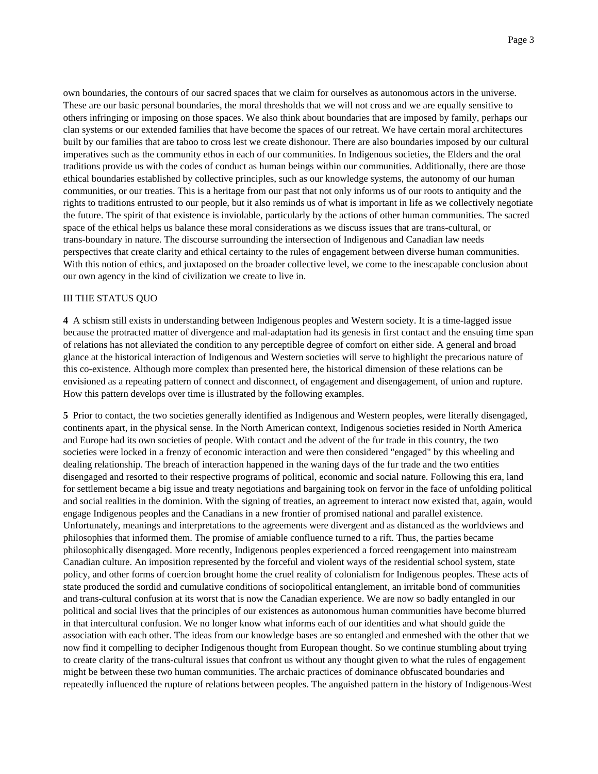own boundaries, the contours of our sacred spaces that we claim for ourselves as autonomous actors in the universe. These are our basic personal boundaries, the moral thresholds that we will not cross and we are equally sensitive to others infringing or imposing on those spaces. We also think about boundaries that are imposed by family, perhaps our clan systems or our extended families that have become the spaces of our retreat. We have certain moral architectures built by our families that are taboo to cross lest we create dishonour. There are also boundaries imposed by our cultural imperatives such as the community ethos in each of our communities. In Indigenous societies, the Elders and the oral traditions provide us with the codes of conduct as human beings within our communities. Additionally, there are those ethical boundaries established by collective principles, such as our knowledge systems, the autonomy of our human communities, or our treaties. This is a heritage from our past that not only informs us of our roots to antiquity and the rights to traditions entrusted to our people, but it also reminds us of what is important in life as we collectively negotiate the future. The spirit of that existence is inviolable, particularly by the actions of other human communities. The sacred space of the ethical helps us balance these moral considerations as we discuss issues that are trans-cultural, or trans-boundary in nature. The discourse surrounding the intersection of Indigenous and Canadian law needs perspectives that create clarity and ethical certainty to the rules of engagement between diverse human communities. With this notion of ethics, and juxtaposed on the broader collective level, we come to the inescapable conclusion about our own agency in the kind of civilization we create to live in.

## III THE STATUS QUO

**4** A schism still exists in understanding between Indigenous peoples and Western society. It is a time-lagged issue because the protracted matter of divergence and mal-adaptation had its genesis in first contact and the ensuing time span of relations has not alleviated the condition to any perceptible degree of comfort on either side. A general and broad glance at the historical interaction of Indigenous and Western societies will serve to highlight the precarious nature of this co-existence. Although more complex than presented here, the historical dimension of these relations can be envisioned as a repeating pattern of connect and disconnect, of engagement and disengagement, of union and rupture. How this pattern develops over time is illustrated by the following examples.

**5** Prior to contact, the two societies generally identified as Indigenous and Western peoples, were literally disengaged, continents apart, in the physical sense. In the North American context, Indigenous societies resided in North America and Europe had its own societies of people. With contact and the advent of the fur trade in this country, the two societies were locked in a frenzy of economic interaction and were then considered "engaged" by this wheeling and dealing relationship. The breach of interaction happened in the waning days of the fur trade and the two entities disengaged and resorted to their respective programs of political, economic and social nature. Following this era, land for settlement became a big issue and treaty negotiations and bargaining took on fervor in the face of unfolding political and social realities in the dominion. With the signing of treaties, an agreement to interact now existed that, again, would engage Indigenous peoples and the Canadians in a new frontier of promised national and parallel existence. Unfortunately, meanings and interpretations to the agreements were divergent and as distanced as the worldviews and philosophies that informed them. The promise of amiable confluence turned to a rift. Thus, the parties became philosophically disengaged. More recently, Indigenous peoples experienced a forced reengagement into mainstream Canadian culture. An imposition represented by the forceful and violent ways of the residential school system, state policy, and other forms of coercion brought home the cruel reality of colonialism for Indigenous peoples. These acts of state produced the sordid and cumulative conditions of sociopolitical entanglement, an irritable bond of communities and trans-cultural confusion at its worst that is now the Canadian experience. We are now so badly entangled in our political and social lives that the principles of our existences as autonomous human communities have become blurred in that intercultural confusion. We no longer know what informs each of our identities and what should guide the association with each other. The ideas from our knowledge bases are so entangled and enmeshed with the other that we now find it compelling to decipher Indigenous thought from European thought. So we continue stumbling about trying to create clarity of the trans-cultural issues that confront us without any thought given to what the rules of engagement might be between these two human communities. The archaic practices of dominance obfuscated boundaries and repeatedly influenced the rupture of relations between peoples. The anguished pattern in the history of Indigenous-West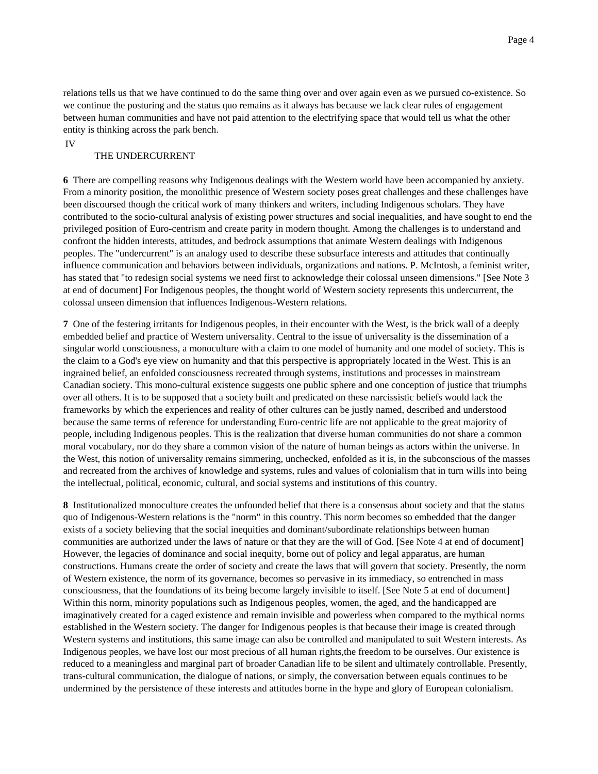relations tells us that we have continued to do the same thing over and over again even as we pursued co-existence. So we continue the posturing and the status quo remains as it always has because we lack clear rules of engagement between human communities and have not paid attention to the electrifying space that would tell us what the other entity is thinking across the park bench.

IV

## THE UNDERCURRENT

**6** There are compelling reasons why Indigenous dealings with the Western world have been accompanied by anxiety. From a minority position, the monolithic presence of Western society poses great challenges and these challenges have been discoursed though the critical work of many thinkers and writers, including Indigenous scholars. They have contributed to the socio-cultural analysis of existing power structures and social inequalities, and have sought to end the privileged position of Euro-centrism and create parity in modern thought. Among the challenges is to understand and confront the hidden interests, attitudes, and bedrock assumptions that animate Western dealings with Indigenous peoples. The "undercurrent" is an analogy used to describe these subsurface interests and attitudes that continually influence communication and behaviors between individuals, organizations and nations. P. McIntosh, a feminist writer, has stated that "to redesign social systems we need first to acknowledge their colossal unseen dimensions." [See Note 3 at end of document] For Indigenous peoples, the thought world of Western society represents this undercurrent, the colossal unseen dimension that influences Indigenous-Western relations.

**7** One of the festering irritants for Indigenous peoples, in their encounter with the West, is the brick wall of a deeply embedded belief and practice of Western universality. Central to the issue of universality is the dissemination of a singular world consciousness, a monoculture with a claim to one model of humanity and one model of society. This is the claim to a God's eye view on humanity and that this perspective is appropriately located in the West. This is an ingrained belief, an enfolded consciousness recreated through systems, institutions and processes in mainstream Canadian society. This mono-cultural existence suggests one public sphere and one conception of justice that triumphs over all others. It is to be supposed that a society built and predicated on these narcissistic beliefs would lack the frameworks by which the experiences and reality of other cultures can be justly named, described and understood because the same terms of reference for understanding Euro-centric life are not applicable to the great majority of people, including Indigenous peoples. This is the realization that diverse human communities do not share a common moral vocabulary, nor do they share a common vision of the nature of human beings as actors within the universe. In the West, this notion of universality remains simmering, unchecked, enfolded as it is, in the subconscious of the masses and recreated from the archives of knowledge and systems, rules and values of colonialism that in turn wills into being the intellectual, political, economic, cultural, and social systems and institutions of this country.

**8** Institutionalized monoculture creates the unfounded belief that there is a consensus about society and that the status quo of Indigenous-Western relations is the "norm" in this country. This norm becomes so embedded that the danger exists of a society believing that the social inequities and dominant/subordinate relationships between human communities are authorized under the laws of nature or that they are the will of God. [See Note 4 at end of document] However, the legacies of dominance and social inequity, borne out of policy and legal apparatus, are human constructions. Humans create the order of society and create the laws that will govern that society. Presently, the norm of Western existence, the norm of its governance, becomes so pervasive in its immediacy, so entrenched in mass consciousness, that the foundations of its being become largely invisible to itself. [See Note 5 at end of document] Within this norm, minority populations such as Indigenous peoples, women, the aged, and the handicapped are imaginatively created for a caged existence and remain invisible and powerless when compared to the mythical norms established in the Western society. The danger for Indigenous peoples is that because their image is created through Western systems and institutions, this same image can also be controlled and manipulated to suit Western interests. As Indigenous peoples, we have lost our most precious of all human rights,the freedom to be ourselves. Our existence is reduced to a meaningless and marginal part of broader Canadian life to be silent and ultimately controllable. Presently, trans-cultural communication, the dialogue of nations, or simply, the conversation between equals continues to be undermined by the persistence of these interests and attitudes borne in the hype and glory of European colonialism.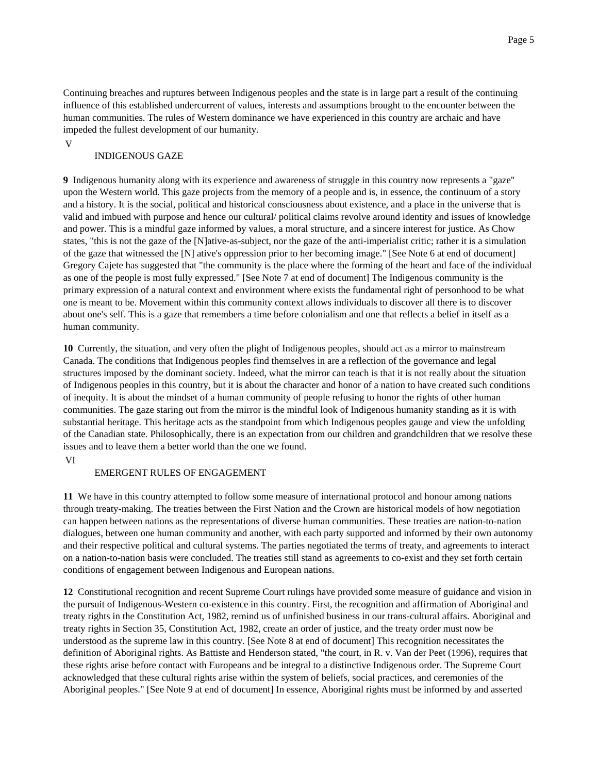Continuing breaches and ruptures between Indigenous peoples and the state is in large part a result of the continuing influence of this established undercurrent of values, interests and assumptions brought to the encounter between the human communities. The rules of Western dominance we have experienced in this country are archaic and have impeded the fullest development of our humanity.

V

## INDIGENOUS GAZE

**9** Indigenous humanity along with its experience and awareness of struggle in this country now represents a "gaze" upon the Western world. This gaze projects from the memory of a people and is, in essence, the continuum of a story and a history. It is the social, political and historical consciousness about existence, and a place in the universe that is valid and imbued with purpose and hence our cultural/ political claims revolve around identity and issues of knowledge and power. This is a mindful gaze informed by values, a moral structure, and a sincere interest for justice. As Chow states, "this is not the gaze of the [N]ative-as-subject, nor the gaze of the anti-imperialist critic; rather it is a simulation of the gaze that witnessed the [N] ative's oppression prior to her becoming image." [See Note 6 at end of document] Gregory Cajete has suggested that "the community is the place where the forming of the heart and face of the individual as one of the people is most fully expressed." [See Note 7 at end of document] The Indigenous community is the primary expression of a natural context and environment where exists the fundamental right of personhood to be what one is meant to be. Movement within this community context allows individuals to discover all there is to discover about one's self. This is a gaze that remembers a time before colonialism and one that reflects a belief in itself as a human community.

**10** Currently, the situation, and very often the plight of Indigenous peoples, should act as a mirror to mainstream Canada. The conditions that Indigenous peoples find themselves in are a reflection of the governance and legal structures imposed by the dominant society. Indeed, what the mirror can teach is that it is not really about the situation of Indigenous peoples in this country, but it is about the character and honor of a nation to have created such conditions of inequity. It is about the mindset of a human community of people refusing to honor the rights of other human communities. The gaze staring out from the mirror is the mindful look of Indigenous humanity standing as it is with substantial heritage. This heritage acts as the standpoint from which Indigenous peoples gauge and view the unfolding of the Canadian state. Philosophically, there is an expectation from our children and grandchildren that we resolve these issues and to leave them a better world than the one we found.

#### VI

## EMERGENT RULES OF ENGAGEMENT

**11** We have in this country attempted to follow some measure of international protocol and honour among nations through treaty-making. The treaties between the First Nation and the Crown are historical models of how negotiation can happen between nations as the representations of diverse human communities. These treaties are nation-to-nation dialogues, between one human community and another, with each party supported and informed by their own autonomy and their respective political and cultural systems. The parties negotiated the terms of treaty, and agreements to interact on a nation-to-nation basis were concluded. The treaties still stand as agreements to co-exist and they set forth certain conditions of engagement between Indigenous and European nations.

**12** Constitutional recognition and recent Supreme Court rulings have provided some measure of guidance and vision in the pursuit of Indigenous-Western co-existence in this country. First, the recognition and affirmation of Aboriginal and treaty rights in the Constitution Act, 1982, remind us of unfinished business in our trans-cultural affairs. Aboriginal and treaty rights in Section 35, Constitution Act, 1982, create an order of justice, and the treaty order must now be understood as the supreme law in this country. [See Note 8 at end of document] This recognition necessitates the definition of Aboriginal rights. As Battiste and Henderson stated, "the court, in R. v. Van der Peet (1996), requires that these rights arise before contact with Europeans and be integral to a distinctive Indigenous order. The Supreme Court acknowledged that these cultural rights arise within the system of beliefs, social practices, and ceremonies of the Aboriginal peoples." [See Note 9 at end of document] In essence, Aboriginal rights must be informed by and asserted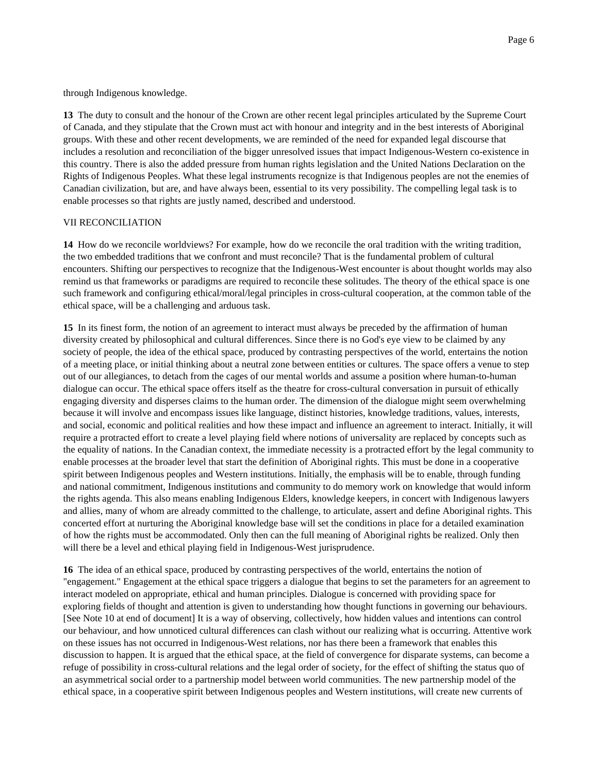through Indigenous knowledge.

**13** The duty to consult and the honour of the Crown are other recent legal principles articulated by the Supreme Court of Canada, and they stipulate that the Crown must act with honour and integrity and in the best interests of Aboriginal groups. With these and other recent developments, we are reminded of the need for expanded legal discourse that includes a resolution and reconciliation of the bigger unresolved issues that impact Indigenous-Western co-existence in this country. There is also the added pressure from human rights legislation and the United Nations Declaration on the Rights of Indigenous Peoples. What these legal instruments recognize is that Indigenous peoples are not the enemies of Canadian civilization, but are, and have always been, essential to its very possibility. The compelling legal task is to enable processes so that rights are justly named, described and understood.

## VII RECONCILIATION

**14** How do we reconcile worldviews? For example, how do we reconcile the oral tradition with the writing tradition, the two embedded traditions that we confront and must reconcile? That is the fundamental problem of cultural encounters. Shifting our perspectives to recognize that the Indigenous-West encounter is about thought worlds may also remind us that frameworks or paradigms are required to reconcile these solitudes. The theory of the ethical space is one such framework and configuring ethical/moral/legal principles in cross-cultural cooperation, at the common table of the ethical space, will be a challenging and arduous task.

**15** In its finest form, the notion of an agreement to interact must always be preceded by the affirmation of human diversity created by philosophical and cultural differences. Since there is no God's eye view to be claimed by any society of people, the idea of the ethical space, produced by contrasting perspectives of the world, entertains the notion of a meeting place, or initial thinking about a neutral zone between entities or cultures. The space offers a venue to step out of our allegiances, to detach from the cages of our mental worlds and assume a position where human-to-human dialogue can occur. The ethical space offers itself as the theatre for cross-cultural conversation in pursuit of ethically engaging diversity and disperses claims to the human order. The dimension of the dialogue might seem overwhelming because it will involve and encompass issues like language, distinct histories, knowledge traditions, values, interests, and social, economic and political realities and how these impact and influence an agreement to interact. Initially, it will require a protracted effort to create a level playing field where notions of universality are replaced by concepts such as the equality of nations. In the Canadian context, the immediate necessity is a protracted effort by the legal community to enable processes at the broader level that start the definition of Aboriginal rights. This must be done in a cooperative spirit between Indigenous peoples and Western institutions. Initially, the emphasis will be to enable, through funding and national commitment, Indigenous institutions and community to do memory work on knowledge that would inform the rights agenda. This also means enabling Indigenous Elders, knowledge keepers, in concert with Indigenous lawyers and allies, many of whom are already committed to the challenge, to articulate, assert and define Aboriginal rights. This concerted effort at nurturing the Aboriginal knowledge base will set the conditions in place for a detailed examination of how the rights must be accommodated. Only then can the full meaning of Aboriginal rights be realized. Only then will there be a level and ethical playing field in Indigenous-West jurisprudence.

**16** The idea of an ethical space, produced by contrasting perspectives of the world, entertains the notion of "engagement." Engagement at the ethical space triggers a dialogue that begins to set the parameters for an agreement to interact modeled on appropriate, ethical and human principles. Dialogue is concerned with providing space for exploring fields of thought and attention is given to understanding how thought functions in governing our behaviours. [See Note 10 at end of document] It is a way of observing, collectively, how hidden values and intentions can control our behaviour, and how unnoticed cultural differences can clash without our realizing what is occurring. Attentive work on these issues has not occurred in Indigenous-West relations, nor has there been a framework that enables this discussion to happen. It is argued that the ethical space, at the field of convergence for disparate systems, can become a refuge of possibility in cross-cultural relations and the legal order of society, for the effect of shifting the status quo of an asymmetrical social order to a partnership model between world communities. The new partnership model of the ethical space, in a cooperative spirit between Indigenous peoples and Western institutions, will create new currents of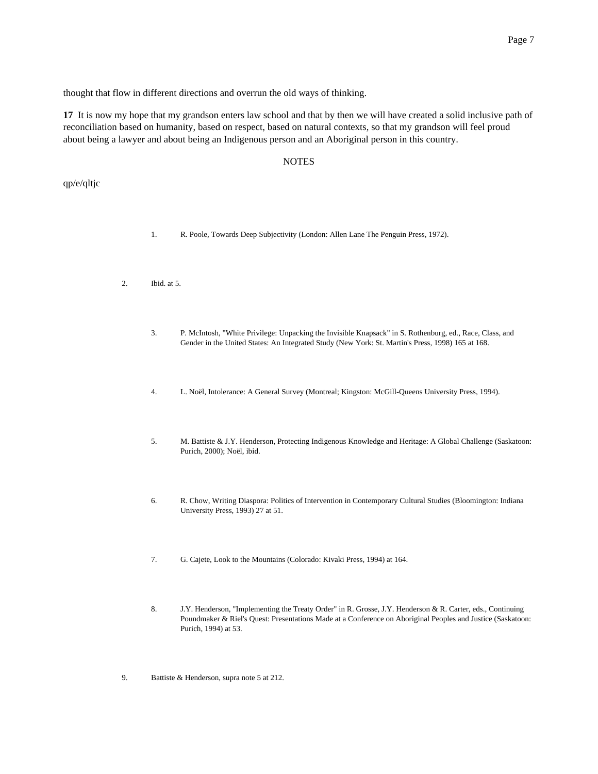thought that flow in different directions and overrun the old ways of thinking.

**17** It is now my hope that my grandson enters law school and that by then we will have created a solid inclusive path of reconciliation based on humanity, based on respect, based on natural contexts, so that my grandson will feel proud about being a lawyer and about being an Indigenous person and an Aboriginal person in this country.

## **NOTES**

qp/e/qltjc

- 1. R. Poole, Towards Deep Subjectivity (London: Allen Lane The Penguin Press, 1972).
- 2. Ibid. at 5.
	- 3. P. McIntosh, "White Privilege: Unpacking the Invisible Knapsack" in S. Rothenburg, ed., Race, Class, and Gender in the United States: An Integrated Study (New York: St. Martin's Press, 1998) 165 at 168.
	- 4. L. Noël, Intolerance: A General Survey (Montreal; Kingston: McGill-Queens University Press, 1994).
	- 5. M. Battiste & J.Y. Henderson, Protecting Indigenous Knowledge and Heritage: A Global Challenge (Saskatoon: Purich, 2000); Noël, ibid.
	- 6. R. Chow, Writing Diaspora: Politics of Intervention in Contemporary Cultural Studies (Bloomington: Indiana University Press, 1993) 27 at 51.
	- 7. G. Cajete, Look to the Mountains (Colorado: Kivaki Press, 1994) at 164.
	- 8. J.Y. Henderson, "Implementing the Treaty Order" in R. Grosse, J.Y. Henderson & R. Carter, eds., Continuing Poundmaker & Riel's Quest: Presentations Made at a Conference on Aboriginal Peoples and Justice (Saskatoon: Purich, 1994) at 53.
- 9. Battiste & Henderson, supra note 5 at 212.